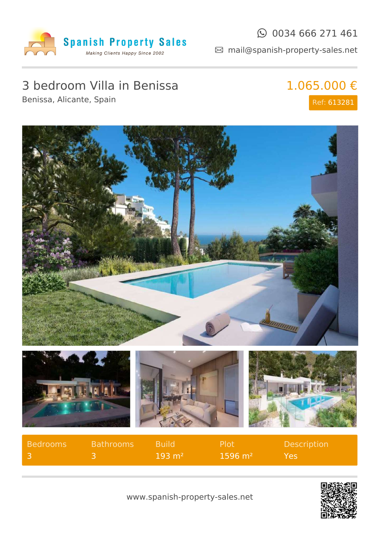

#### $\odot$  0034 666 271 461

mail@spanish-property-sales.net

# 3 bedroom Villa in Benissa

Benissa, Alicante, Spain

## 1.065.000 € Ref: 613281









| Bedrooms | <b>Bathrooms</b> | <b>Build</b>       | - Plot i               | <b>Description</b> |
|----------|------------------|--------------------|------------------------|--------------------|
|          |                  | $-193 \text{ m}^2$ | $1596 \; \mathrm{m}^2$ | Yes.               |

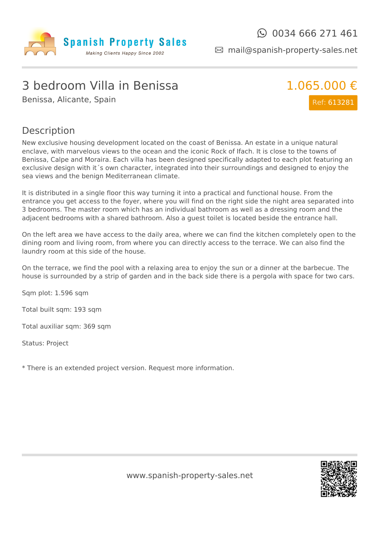

mail@spanish-property-sales.net

## 3 bedroom Villa in Benissa

Benissa, Alicante, Spain



#### Description

New exclusive housing development located on the coast of Benissa. An estate in a unique natural enclave, with marvelous views to the ocean and the iconic Rock of Ifach. It is close to the towns of Benissa, Calpe and Moraira. Each villa has been designed specifically adapted to each plot featuring an exclusive design with it´s own character, integrated into their surroundings and designed to enjoy the sea views and the benign Mediterranean climate.

It is distributed in a single floor this way turning it into a practical and functional house. From the entrance you get access to the foyer, where you will find on the right side the night area separated into 3 bedrooms. The master room which has an individual bathroom as well as a dressing room and the adjacent bedrooms with a shared bathroom. Also a guest toilet is located beside the entrance hall.

On the left area we have access to the daily area, where we can find the kitchen completely open to the dining room and living room, from where you can directly access to the terrace. We can also find the laundry room at this side of the house.

On the terrace, we find the pool with a relaxing area to enjoy the sun or a dinner at the barbecue. The house is surrounded by a strip of garden and in the back side there is a pergola with space for two cars.

Sqm plot: 1.596 sqm

Total built sqm: 193 sqm

Total auxiliar sqm: 369 sqm

Status: Project

\* There is an extended project version. Request more information.